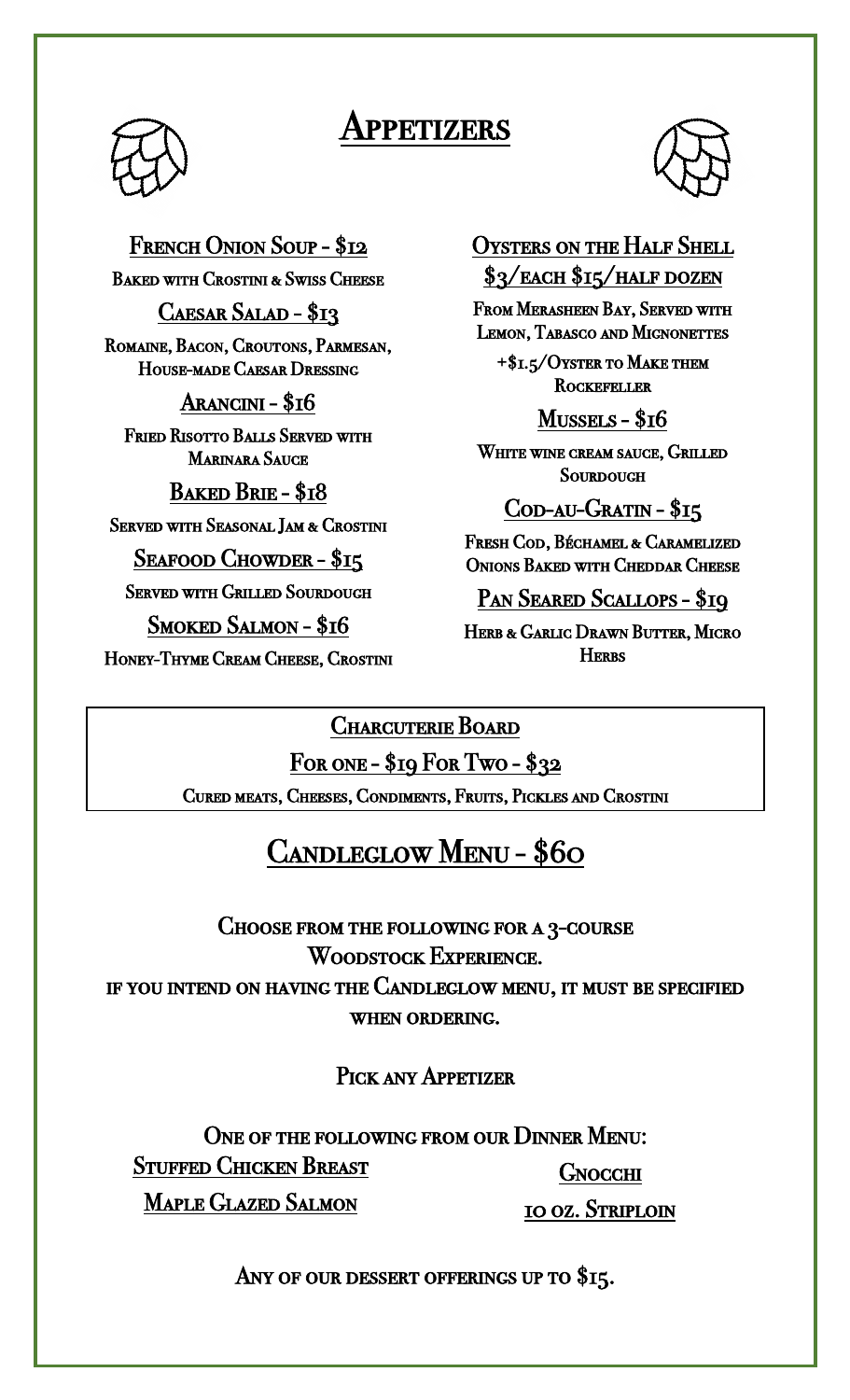# Appetizers



#### French Onion Soup - \$12

Baked with Crostini & Swiss Cheese

CAESAR SALAD - \$13

Romaine, Bacon, Croutons, Parmesan, House-made Caesar Dressing

Arancini - \$16

Fried Risotto Balls Served with Marinara Sauce

Baked Brie - \$18

Served with Seasonal Jam & Crostini

Seafood Chowder - \$15

Served with Grilled Sourdough

Smoked Salmon - \$16

Honey-Thyme Cream Cheese, Crostini

Oysters on the Half Shell \$3/EACH \$15/HALF DOZEN

From Merasheen Bay, Served with Lemon, Tabasco and Mignonettes

+\$1.5/Oyster to Make them **ROCKEFELLER** 

## Mussels - \$16

White wine cream sauce, Grilled **SOURDOUGH** 

## Cod-au-Gratin - \$15

Fresh Cod, Béchamel & Caramelized Onions Baked with Cheddar Cheese

PAN SEARED SCALLOPS - \$19

HERB & GARLIC DRAWN BUTTER, MICRO **HERRS** 

### Charcuterie Board

For one - \$19 For Two - \$32 Cured meats, Cheeses, Condiments, Fruits, Pickles and Crostini

## Candleglow Menu - \$60

 Choose from the following for a 3-course Woodstock Experience. if you intend on having the Candleglow menu, it must be specified when ordering.

PICK ANY APPETIZER

ONE OF THE FOLLOWING FROM OUR DINNER MENU: Stuffed Chicken Breast Maple Glazed Salmon **GNOCCHI** 10 oz. Striploin

ANY OF OUR DESSERT OFFERINGS UP TO \$15.